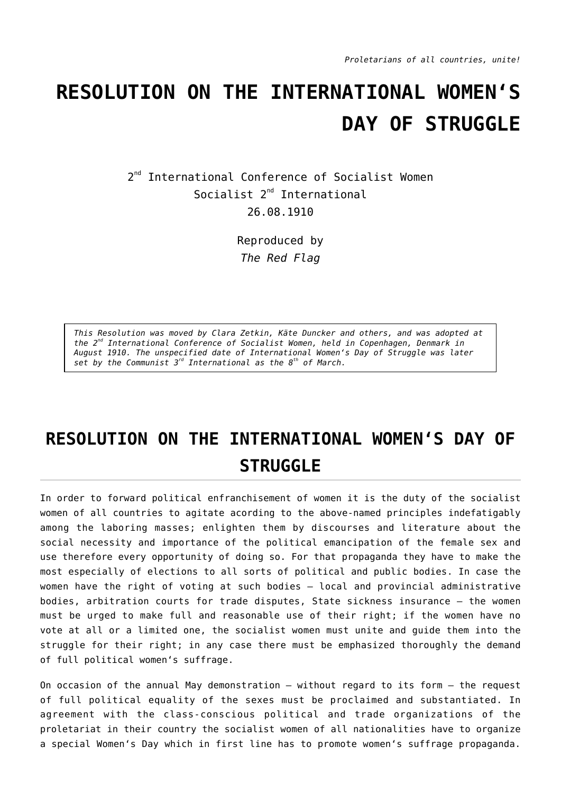## **RESOLUTION ON THE INTERNATIONAL WOMEN'S DAY OF STRUGGLE**

2<sup>nd</sup> International Conference of Socialist Women Socialist 2<sup>nd</sup> International 26.08.1910

> Reproduced by *The Red Flag*

*This Resolution was moved by Clara Zetkin, Käte Duncker and others, and was adopted at the 2nd International Conference of Socialist Women, held in Copenhagen, Denmark in August 1910. The unspecified date of International Women's Day of Struggle was later set by the Communist 3rd International as the 8th of March.*

## **RESOLUTION ON THE INTERNATIONAL WOMEN'S DAY OF STRUGGLE**

In order to forward political enfranchisement of women it is the duty of the socialist women of all countries to agitate acording to the above-named principles indefatigably among the laboring masses; enlighten them by discourses and literature about the social necessity and importance of the political emancipation of the female sex and use therefore every opportunity of doing so. For that propaganda they have to make the most especially of elections to all sorts of political and public bodies. In case the women have the right of voting at such bodies — local and provincial administrative bodies, arbitration courts for trade disputes, State sickness insurance — the women must be urged to make full and reasonable use of their right; if the women have no vote at all or a limited one, the socialist women must unite and guide them into the struggle for their right; in any case there must be emphasized thoroughly the demand of full political women's suffrage.

On occasion of the annual May demonstration — without regard to its form — the request of full political equality of the sexes must be proclaimed and substantiated. In agreement with the class-conscious political and trade organizations of the proletariat in their country the socialist women of all nationalities have to organize a special Women's Day which in first line has to promote women's suffrage propaganda.